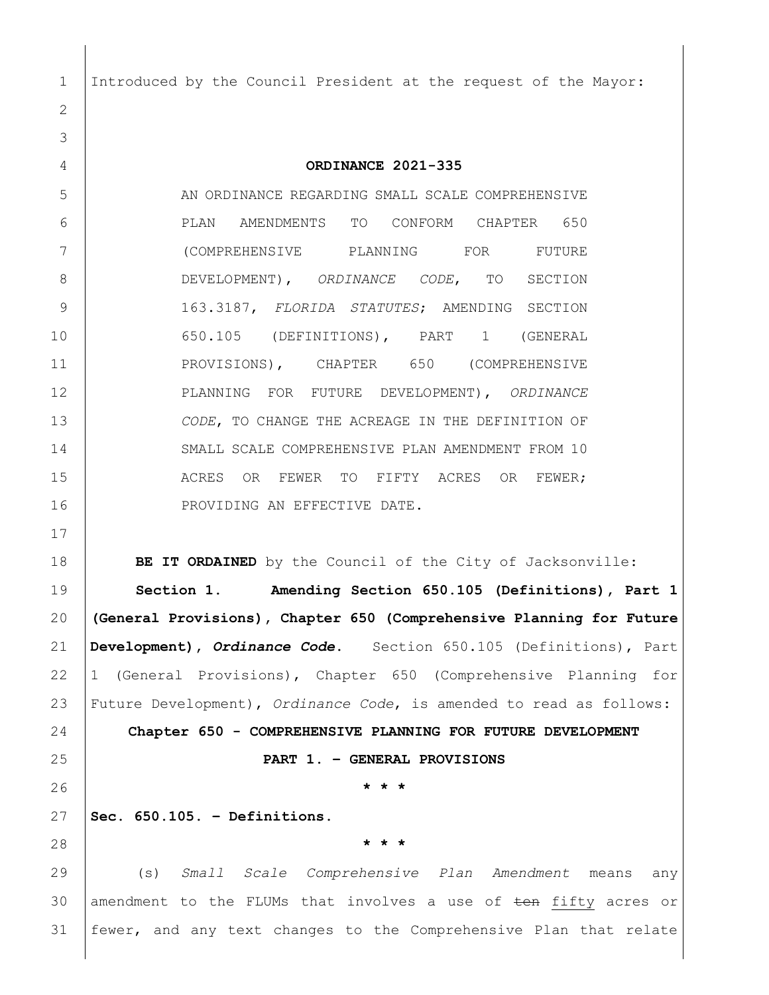Introduced by the Council President at the request of the Mayor:

 **ORDINANCE 2021-335** 5 AN ORDINANCE REGARDING SMALL SCALE COMPREHENSIVE PLAN AMENDMENTS TO CONFORM CHAPTER 650 (COMPREHENSIVE PLANNING FOR FUTURE DEVELOPMENT), *ORDINANCE CODE*, TO SECTION 163.3187, *FLORIDA STATUTES*; AMENDING SECTION 650.105 (DEFINITIONS), PART 1 (GENERAL 11 PROVISIONS), CHAPTER 650 (COMPREHENSIVE PLANNING FOR FUTURE DEVELOPMENT), *ORDINANCE CODE*, TO CHANGE THE ACREAGE IN THE DEFINITION OF SMALL SCALE COMPREHENSIVE PLAN AMENDMENT FROM 10 15 ACRES OR FEWER TO FIFTY ACRES OR FEWER; 16 PROVIDING AN EFFECTIVE DATE.

**BE IT ORDAINED** by the Council of the City of Jacksonville:

 **Section 1. Amending Section 650.105 (Definitions), Part 1 (General Provisions), Chapter 650 (Comprehensive Planning for Future Development),** *Ordinance Code***.** Section 650.105 (Definitions), Part 1 (General Provisions), Chapter 650 (Comprehensive Planning for Future Development), *Ordinance Code*, is amended to read as follows: **Chapter 650 - COMPREHENSIVE PLANNING FOR FUTURE DEVELOPMENT PART 1. – GENERAL PROVISIONS \* \* \***

**Sec. 650.105. – Definitions.**

**\* \* \***

 (s) *Small Scale Comprehensive Plan Amendment* means any 30 amendment to the FLUMs that involves a use of  $\pm$ on fifty acres or fewer, and any text changes to the Comprehensive Plan that relate